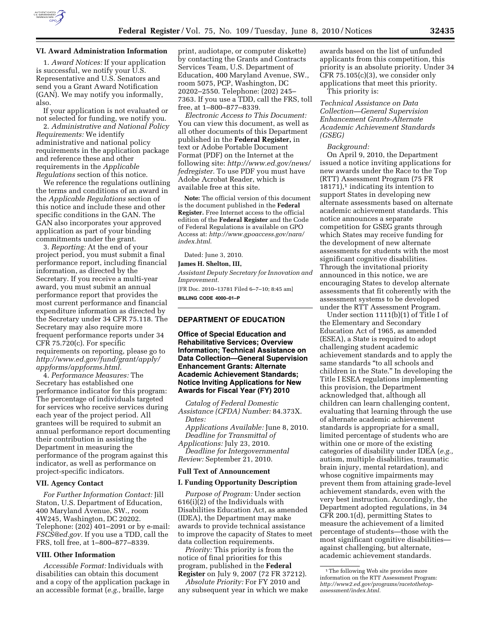

# **VI. Award Administration Information**

1. *Award Notices:* If your application is successful, we notify your U.S. Representative and U.S. Senators and send you a Grant Award Notification (GAN). We may notify you informally, also.

If your application is not evaluated or not selected for funding, we notify you.

2. *Administrative and National Policy Requirements:* We identify administrative and national policy requirements in the application package and reference these and other requirements in the *Applicable Regulations* section of this notice.

We reference the regulations outlining the terms and conditions of an award in the *Applicable Regulations* section of this notice and include these and other specific conditions in the GAN. The GAN also incorporates your approved application as part of your binding commitments under the grant.

3. *Reporting:* At the end of your project period, you must submit a final performance report, including financial information, as directed by the Secretary. If you receive a multi-year award, you must submit an annual performance report that provides the most current performance and financial expenditure information as directed by the Secretary under 34 CFR 75.118. The Secretary may also require more frequent performance reports under 34 CFR 75.720(c). For specific requirements on reporting, please go to *http://www.ed.gov/fund/grant/apply/ appforms/appforms.html.* 

4. *Performance Measures:* The Secretary has established one performance indicator for this program: The percentage of individuals targeted for services who receive services during each year of the project period. All grantees will be required to submit an annual performance report documenting their contribution in assisting the Department in measuring the performance of the program against this indicator, as well as performance on project-specific indicators.

## **VII. Agency Contact**

*For Further Information Contact:* Jill Staton, U.S. Department of Education, 400 Maryland Avenue, SW., room 4W245, Washington, DC 20202. Telephone: (202) 401–2091 or by e-mail: *FSCS@ed.gov.* If you use a TDD, call the FRS, toll free, at 1–800–877–8339.

### **VIII. Other Information**

*Accessible Format:* Individuals with disabilities can obtain this document and a copy of the application package in an accessible format (*e.g.,* braille, large

print, audiotape, or computer diskette) by contacting the Grants and Contracts Services Team, U.S. Department of Education, 400 Maryland Avenue, SW., room 5075, PCP, Washington, DC 20202–2550. Telephone: (202) 245– 7363. If you use a TDD, call the FRS, toll free, at 1–800–877–8339.

*Electronic Access to This Document:*  You can view this document, as well as all other documents of this Department published in the **Federal Register,** in text or Adobe Portable Document Format (PDF) on the Internet at the following site: *http://www.ed.gov/news/ fedregister.* To use PDF you must have Adobe Acrobat Reader, which is available free at this site.

**Note:** The official version of this document is the document published in the **Federal Register.** Free Internet access to the official edition of the **Federal Register** and the Code of Federal Regulations is available on GPO Access at: *http://www.gpoaccess.gov/nara/ index.html*.

Dated: June 3, 2010.

## **James H. Shelton, III,**

*Assistant Deputy Secretary for Innovation and Improvement.* 

[FR Doc. 2010–13781 Filed 6–7–10; 8:45 am] **BILLING CODE 4000–01–P** 

# **DEPARTMENT OF EDUCATION**

## **Office of Special Education and Rehabilitative Services; Overview Information; Technical Assistance on Data Collection—General Supervision Enhancement Grants: Alternate Academic Achievement Standards; Notice Inviting Applications for New Awards for Fiscal Year (FY) 2010**

*Catalog of Federal Domestic Assistance (CFDA) Number:* 84.373X. *Dates:* 

*Applications Available:* June 8, 2010. *Deadline for Transmittal of Applications:* July 23, 2010.

*Deadline for Intergovernmental Review:* September 21, 2010.

## **Full Text of Announcement**

#### **I. Funding Opportunity Description**

*Purpose of Program:* Under section 616(i)(2) of the Individuals with Disabilities Education Act, as amended (IDEA), the Department may make awards to provide technical assistance to improve the capacity of States to meet data collection requirements.

*Priority:* This priority is from the notice of final priorities for this program, published in the **Federal Register** on July 9, 2007 (72 FR 37212).

*Absolute Priority:* For FY 2010 and any subsequent year in which we make

awards based on the list of unfunded applicants from this competition, this priority is an absolute priority. Under 34 CFR 75.105(c)(3), we consider only applications that meet this priority. This priority is:

*Technical Assistance on Data Collection—General Supervision Enhancement Grants-Alternate Academic Achievement Standards (GSEG)* 

### *Background:*

On April 9, 2010, the Department issued a notice inviting applications for new awards under the Race to the Top (RTT) Assessment Program (75 FR  $18171$ ,<sup>1</sup> indicating its intention to support States in developing new alternate assessments based on alternate academic achievement standards. This notice announces a separate competition for GSEG grants through which States may receive funding for the development of new alternate assessments for students with the most significant cognitive disabilities. Through the invitational priority announced in this notice, we are encouraging States to develop alternate assessments that fit coherently with the assessment systems to be developed under the RTT Assessment Program.

Under section 1111(b)(1) of Title I of the Elementary and Secondary Education Act of 1965, as amended (ESEA), a State is required to adopt challenging student academic achievement standards and to apply the same standards ''to all schools and children in the State.'' In developing the Title I ESEA regulations implementing this provision, the Department acknowledged that, although all children can learn challenging content, evaluating that learning through the use of alternate academic achievement standards is appropriate for a small, limited percentage of students who are within one or more of the existing categories of disability under IDEA (*e.g.,*  autism, multiple disabilities, traumatic brain injury, mental retardation), and whose cognitive impairments may prevent them from attaining grade-level achievement standards, even with the very best instruction. Accordingly, the Department adopted regulations, in 34 CFR 200.1(d), permitting States to measure the achievement of a limited percentage of students—those with the most significant cognitive disabilities against challenging, but alternate, academic achievement standards.

<sup>&</sup>lt;sup>1</sup>The following Web site provides more information on the RTT Assessment Program: *http://www2.ed.gov/programs/racetothetopassessment/index.html.*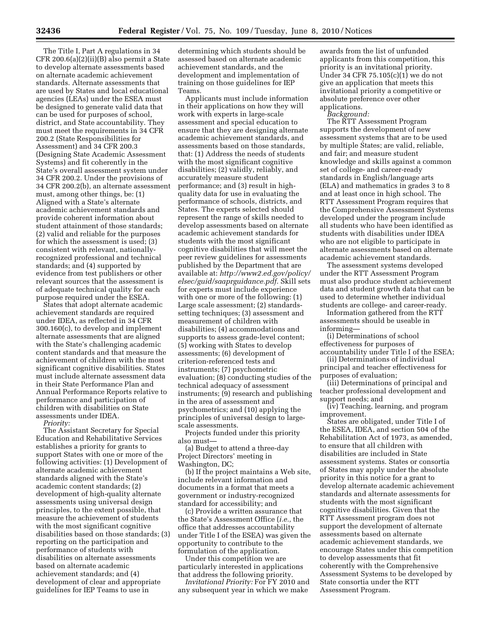The Title I, Part A regulations in 34 CFR 200.6(a)(2)(ii)(B) also permit a State to develop alternate assessments based on alternate academic achievement standards. Alternate assessments that are used by States and local educational agencies (LEAs) under the ESEA must be designed to generate valid data that can be used for purposes of school, district, and State accountability. They must meet the requirements in 34 CFR 200.2 (State Responsibilities for Assessment) and 34 CFR 200.3 (Designing State Academic Assessment Systems) and fit coherently in the State's overall assessment system under 34 CFR 200.2. Under the provisions of 34 CFR 200.2(b), an alternate assessment must, among other things, be: (1) Aligned with a State's alternate academic achievement standards and provide coherent information about student attainment of those standards; (2) valid and reliable for the purposes for which the assessment is used; (3) consistent with relevant, nationallyrecognized professional and technical standards; and (4) supported by evidence from test publishers or other relevant sources that the assessment is of adequate technical quality for each purpose required under the ESEA.

States that adopt alternate academic achievement standards are required under IDEA, as reflected in 34 CFR 300.160(c), to develop and implement alternate assessments that are aligned with the State's challenging academic content standards and that measure the achievement of children with the most significant cognitive disabilities. States must include alternate assessment data in their State Performance Plan and Annual Performance Reports relative to performance and participation of children with disabilities on State assessments under IDEA.

*Priority:* 

The Assistant Secretary for Special Education and Rehabilitative Services establishes a priority for grants to support States with one or more of the following activities: (1) Development of alternate academic achievement standards aligned with the State's academic content standards; (2) development of high-quality alternate assessments using universal design principles, to the extent possible, that measure the achievement of students with the most significant cognitive disabilities based on those standards; (3) reporting on the participation and performance of students with disabilities on alternate assessments based on alternate academic achievement standards; and (4) development of clear and appropriate guidelines for IEP Teams to use in

determining which students should be assessed based on alternate academic achievement standards, and the development and implementation of training on those guidelines for IEP Teams.

Applicants must include information in their applications on how they will work with experts in large-scale assessment and special education to ensure that they are designing alternate academic achievement standards, and assessments based on those standards, that: (1) Address the needs of students with the most significant cognitive disabilities; (2) validly, reliably, and accurately measure student performance; and (3) result in highquality data for use in evaluating the performance of schools, districts, and States. The experts selected should represent the range of skills needed to develop assessments based on alternate academic achievement standards for students with the most significant cognitive disabilities that will meet the peer review guidelines for assessments published by the Department that are available at: *http://www2.ed.gov/policy/ elsec/guid/saaprguidance.pdf.* Skill sets for experts must include experience with one or more of the following: (1) Large scale assessment; (2) standardssetting techniques; (3) assessment and measurement of children with disabilities; (4) accommodations and supports to assess grade-level content; (5) working with States to develop assessments; (6) development of criterion-referenced tests and instruments; (7) psychometric evaluation; (8) conducting studies of the technical adequacy of assessment instruments; (9) research and publishing in the area of assessment and psychometrics; and (10) applying the principles of universal design to largescale assessments.

Projects funded under this priority also must—

(a) Budget to attend a three-day Project Directors' meeting in Washington, DC;

(b) If the project maintains a Web site, include relevant information and documents in a format that meets a government or industry-recognized standard for accessibility; and

(c) Provide a written assurance that the State's Assessment Office (*i.e.,* the office that addresses accountability under Title I of the ESEA) was given the opportunity to contribute to the formulation of the application.

Under this competition we are particularly interested in applications that address the following priority.

*Invitational Priority:* For FY 2010 and any subsequent year in which we make

awards from the list of unfunded applicants from this competition, this priority is an invitational priority. Under 34 CFR 75.105(c)(1) we do not give an application that meets this invitational priority a competitive or absolute preference over other applications.

*Background:* 

The RTT Assessment Program supports the development of new assessment systems that are to be used by multiple States; are valid, reliable, and fair; and measure student knowledge and skills against a common set of college- and career-ready standards in English/language arts (ELA) and mathematics in grades 3 to 8 and at least once in high school. The RTT Assessment Program requires that the Comprehensive Assessment Systems developed under the program include all students who have been identified as students with disabilities under IDEA who are not eligible to participate in alternate assessments based on alternate academic achievement standards.

The assessment systems developed under the RTT Assessment Program must also produce student achievement data and student growth data that can be used to determine whether individual students are college- and career-ready.

Information gathered from the RTT assessments should be useable in informing—

(i) Determinations of school effectiveness for purposes of accountability under Title I of the ESEA;

(ii) Determinations of individual principal and teacher effectiveness for

purposes of evaluation;

(iii) Determinations of principal and teacher professional development and support needs; and

(iv) Teaching, learning, and program improvement.

States are obligated, under Title I of the ESEA, IDEA, and section 504 of the Rehabilitation Act of 1973, as amended, to ensure that all children with disabilities are included in State assessment systems. States or consortia of States may apply under the absolute priority in this notice for a grant to develop alternate academic achievement standards and alternate assessments for students with the most significant cognitive disabilities. Given that the RTT Assessment program does not support the development of alternate assessments based on alternate academic achievement standards, we encourage States under this competition to develop assessments that fit coherently with the Comprehensive Assessment Systems to be developed by State consortia under the RTT Assessment Program.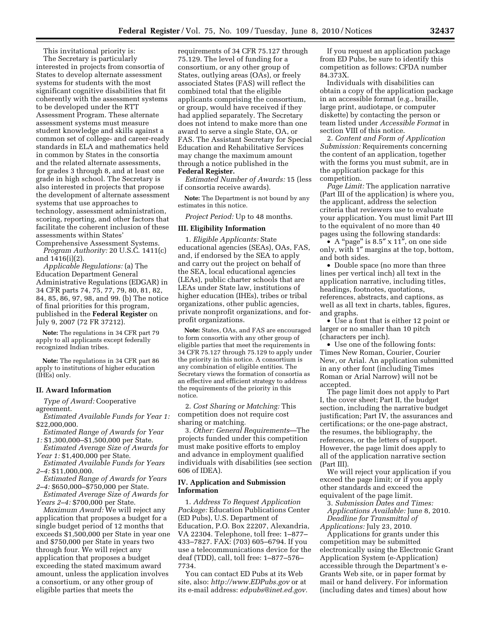This invitational priority is: The Secretary is particularly interested in projects from consortia of States to develop alternate assessment systems for students with the most significant cognitive disabilities that fit coherently with the assessment systems to be developed under the RTT Assessment Program. These alternate assessment systems must measure student knowledge and skills against a common set of college- and career-ready standards in ELA and mathematics held in common by States in the consortia and the related alternate assessments, for grades 3 through 8, and at least one grade in high school. The Secretary is also interested in projects that propose the development of alternate assessment systems that use approaches to technology, assessment administration, scoring, reporting, and other factors that facilitate the coherent inclusion of these assessments within States'

Comprehensive Assessment Systems. *Program Authority:* 20 U.S.C. 1411(c) and 1416(i)(2).

*Applicable Regulations:* (a) The Education Department General Administrative Regulations (EDGAR) in 34 CFR parts 74, 75, 77, 79, 80, 81, 82, 84, 85, 86, 97, 98, and 99. (b) The notice of final priorities for this program, published in the **Federal Register** on July 9, 2007 (72 FR 37212).

**Note:** The regulations in 34 CFR part 79 apply to all applicants except federally recognized Indian tribes.

**Note:** The regulations in 34 CFR part 86 apply to institutions of higher education (IHEs) only.

## **II. Award Information**

*Type of Award:* Cooperative agreement.

- *Estimated Available Funds for Year 1:*  \$22,000,000.
- *Estimated Range of Awards for Year 1:* \$1,300,000–\$1,500,000 per State.
- *Estimated Average Size of Awards for*
- *Year 1:* \$1,400,000 per State. *Estimated Available Funds for Years*
- *2–4:* \$11,000,000.
- *Estimated Range of Awards for Years 2–4:* \$650,000–\$750,000 per State.
- *Estimated Average Size of Awards for Years 2–4:* \$700,000 per State.

*Maximum Award:* We will reject any application that proposes a budget for a single budget period of 12 months that exceeds \$1,500,000 per State in year one and \$750,000 per State in years two through four. We will reject any application that proposes a budget exceeding the stated maximum award amount, unless the application involves a consortium, or any other group of eligible parties that meets the

requirements of 34 CFR 75.127 through 75.129. The level of funding for a consortium, or any other group of States, outlying areas (OAs), or freely associated States (FAS) will reflect the combined total that the eligible applicants comprising the consortium, or group, would have received if they had applied separately. The Secretary does not intend to make more than one award to serve a single State, OA, or FAS. The Assistant Secretary for Special Education and Rehabilitative Services may change the maximum amount through a notice published in the **Federal Register.** 

*Estimated Number of Awards:* 15 (less if consortia receive awards).

**Note:** The Department is not bound by any estimates in this notice.

*Project Period:* Up to 48 months.

## **III. Eligibility Information**

1. *Eligible Applicants:* State educational agencies (SEAs), OAs, FAS, and, if endorsed by the SEA to apply and carry out the project on behalf of the SEA, local educational agencies (LEAs), public charter schools that are LEAs under State law, institutions of higher education (IHEs), tribes or tribal organizations, other public agencies, private nonprofit organizations, and forprofit organizations.

**Note:** States, OAs, and FAS are encouraged to form consortia with any other group of eligible parties that meet the requirements in 34 CFR 75.127 through 75.129 to apply under the priority in this notice. A consortium is any combination of eligible entities. The Secretary views the formation of consortia as an effective and efficient strategy to address the requirements of the priority in this notice.

2. *Cost Sharing or Matching:* This competition does not require cost sharing or matching.

3. *Other: General Requirements*—The projects funded under this competition must make positive efforts to employ and advance in employment qualified individuals with disabilities (see section 606 of IDEA).

## **IV. Application and Submission Information**

1. *Address To Request Application Package:* Education Publications Center (ED Pubs), U.S. Department of Education, P.O. Box 22207, Alexandria, VA 22304. Telephone, toll free: 1–877– 433–7827. FAX: (703) 605–6794. If you use a telecommunications device for the deaf (TDD), call, toll free: 1–877–576– 7734.

You can contact ED Pubs at its Web site, also: *http://www.EDPubs.gov* or at its e-mail address: *edpubs@inet.ed.gov.* 

If you request an application package from ED Pubs, be sure to identify this competition as follows: CFDA number 84.373X.

Individuals with disabilities can obtain a copy of the application package in an accessible format (e.g., braille, large print, audiotape, or computer diskette) by contacting the person or team listed under *Accessible Format* in section VIII of this notice.

2. *Content and Form of Application Submission:* Requirements concerning the content of an application, together with the forms you must submit, are in the application package for this competition.

*Page Limit:* The application narrative (Part III of the application) is where you, the applicant, address the selection criteria that reviewers use to evaluate your application. You must limit Part III to the equivalent of no more than 40 pages using the following standards:

• A "page" is  $8.5$ " x  $11$ ", on one side only, with 1″ margins at the top, bottom, and both sides.

• Double space (no more than three lines per vertical inch) all text in the application narrative, including titles, headings, footnotes, quotations, references, abstracts, and captions, as well as all text in charts, tables, figures, and graphs.

• Use a font that is either 12 point or larger or no smaller than 10 pitch (characters per inch).

• Use one of the following fonts: Times New Roman, Courier, Courier New, or Arial. An application submitted in any other font (including Times Roman or Arial Narrow) will not be accepted.

The page limit does not apply to Part I, the cover sheet; Part II, the budget section, including the narrative budget justification; Part IV, the assurances and certifications; or the one-page abstract, the resumes, the bibliography, the references, or the letters of support. However, the page limit does apply to all of the application narrative section (Part III).

We will reject your application if you exceed the page limit; or if you apply other standards and exceed the equivalent of the page limit.

3. *Submission Dates and Times:* 

*Applications Available:* June 8, 2010. *Deadline for Transmittal of* 

*Applications:* July 23, 2010.

Applications for grants under this competition may be submitted electronically using the Electronic Grant Application System (e-Application) accessible through the Department's e-Grants Web site, or in paper format by mail or hand delivery. For information (including dates and times) about how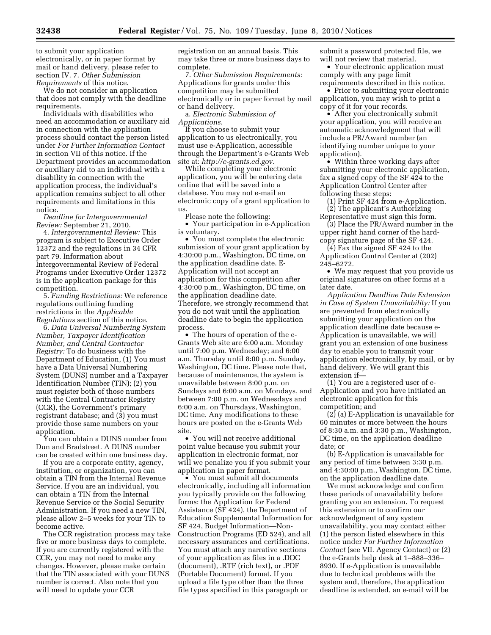to submit your application electronically, or in paper format by mail or hand delivery, please refer to section IV. 7. *Other Submission Requirements* of this notice.

We do not consider an application that does not comply with the deadline requirements.

Individuals with disabilities who need an accommodation or auxiliary aid in connection with the application process should contact the person listed under *For Further Information Contact*  in section VII of this notice. If the Department provides an accommodation or auxiliary aid to an individual with a disability in connection with the application process, the individual's application remains subject to all other requirements and limitations in this notice.

*Deadline for Intergovernmental Review:* September 21, 2010.

4. *Intergovernmental Review:* This program is subject to Executive Order 12372 and the regulations in 34 CFR part 79. Information about Intergovernmental Review of Federal Programs under Executive Order 12372 is in the application package for this competition.

5. *Funding Restrictions:* We reference regulations outlining funding restrictions in the *Applicable Regulations* section of this notice.

6. *Data Universal Numbering System Number, Taxpayer Identification Number, and Central Contractor Registry:* To do business with the Department of Education, (1) You must have a Data Universal Numbering System (DUNS) number and a Taxpayer Identification Number (TIN); (2) you must register both of those numbers with the Central Contractor Registry (CCR), the Government's primary registrant database; and (3) you must provide those same numbers on your application.

You can obtain a DUNS number from Dun and Bradstreet. A DUNS number can be created within one business day.

If you are a corporate entity, agency, institution, or organization, you can obtain a TIN from the Internal Revenue Service. If you are an individual, you can obtain a TIN from the Internal Revenue Service or the Social Security Administration. If you need a new TIN, please allow 2–5 weeks for your TIN to become active.

The CCR registration process may take five or more business days to complete. If you are currently registered with the CCR, you may not need to make any changes. However, please make certain that the TIN associated with your DUNS number is correct. Also note that you will need to update your CCR

registration on an annual basis. This may take three or more business days to complete.

7. *Other Submission Requirements:*  Applications for grants under this competition may be submitted electronically or in paper format by mail or hand delivery.

a. *Electronic Submission of Applications.* 

If you choose to submit your application to us electronically, you must use e-Application, accessible through the Department's e-Grants Web site at: *http://e-grants.ed.gov.* 

While completing your electronic application, you will be entering data online that will be saved into a database. You may not e-mail an electronic copy of a grant application to us.

Please note the following:

• Your participation in e-Application is voluntary.

• You must complete the electronic submission of your grant application by 4:30:00 p.m., Washington, DC time, on the application deadline date. E-Application will not accept an application for this competition after 4:30:00 p.m., Washington, DC time, on the application deadline date. Therefore, we strongly recommend that you do not wait until the application deadline date to begin the application process.

• The hours of operation of the e-Grants Web site are 6:00 a.m. Monday until 7:00 p.m. Wednesday; and 6:00 a.m. Thursday until 8:00 p.m. Sunday, Washington, DC time. Please note that, because of maintenance, the system is unavailable between 8:00 p.m. on Sundays and 6:00 a.m. on Mondays, and between 7:00 p.m. on Wednesdays and 6:00 a.m. on Thursdays, Washington, DC time. Any modifications to these hours are posted on the e-Grants Web site.

• You will not receive additional point value because you submit your application in electronic format, nor will we penalize you if you submit your application in paper format.

• You must submit all documents electronically, including all information you typically provide on the following forms: the Application for Federal Assistance (SF 424), the Department of Education Supplemental Information for SF 424, Budget Information—Non-Construction Programs (ED 524), and all necessary assurances and certifications. You must attach any narrative sections of your application as files in a .DOC (document), .RTF (rich text), or .PDF (Portable Document) format. If you upload a file type other than the three file types specified in this paragraph or

submit a password protected file, we will not review that material.

• Your electronic application must comply with any page limit

requirements described in this notice. • Prior to submitting your electronic

application, you may wish to print a copy of it for your records.

• After you electronically submit your application, you will receive an automatic acknowledgment that will include a PR/Award number (an identifying number unique to your application).

• Within three working days after submitting your electronic application, fax a signed copy of the SF 424 to the Application Control Center after following these steps:

(1) Print SF 424 from e-Application. (2) The applicant's Authorizing Representative must sign this form.

(3) Place the PR/Award number in the upper right hand corner of the hardcopy signature page of the SF 424.

(4) Fax the signed SF 424 to the Application Control Center at (202) 245–6272.

• We may request that you provide us original signatures on other forms at a later date.

*Application Deadline Date Extension in Case of System Unavailability:* If you are prevented from electronically submitting your application on the application deadline date because e-Application is unavailable, we will grant you an extension of one business day to enable you to transmit your application electronically, by mail, or by hand delivery. We will grant this extension if—

(1) You are a registered user of e-Application and you have initiated an electronic application for this competition; and

 $(2)$  (a) E-Application is unavailable for 60 minutes or more between the hours of 8:30 a.m. and 3:30 p.m., Washington, DC time, on the application deadline date; or

(b) E-Application is unavailable for any period of time between 3:30 p.m. and 4:30:00 p.m., Washington, DC time, on the application deadline date.

We must acknowledge and confirm these periods of unavailability before granting you an extension. To request this extension or to confirm our acknowledgment of any system unavailability, you may contact either (1) the person listed elsewhere in this notice under *For Further Information Contact* (see VII. Agency Contact) or (2) the e-Grants help desk at 1–888–336– 8930. If e-Application is unavailable due to technical problems with the system and, therefore, the application deadline is extended, an e-mail will be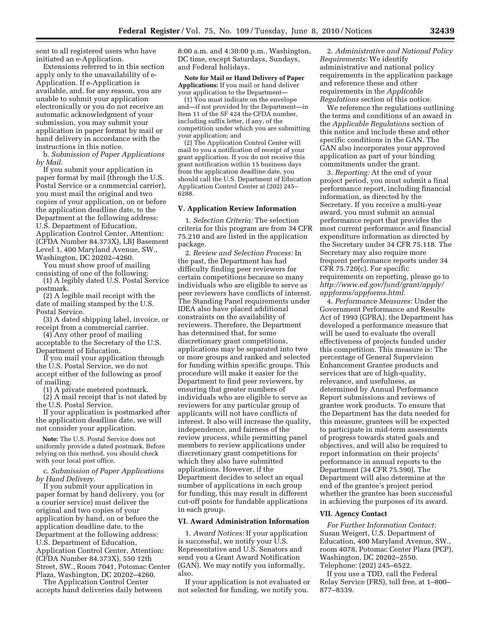sent to all registered users who have initiated an e-Application.

Extensions referred to in this section apply only to the unavailability of e-Application. If e-Application is available, and, for any reason, you are unable to submit your application electronically or you do not receive an automatic acknowledgment of your submission, you may submit your application in paper format by mail or hand delivery in accordance with the instructions in this notice.

b. *Submission of Paper Applications by Mail.* 

If you submit your application in paper format by mail (through the U.S. Postal Service or a commercial carrier), you must mail the original and two copies of your application, on or before the application deadline date, to the Department at the following address: U.S. Department of Education, Application Control Center, Attention: (CFDA Number 84.373X), LBJ Basement Level 1, 400 Maryland Avenue, SW., Washington, DC 20202–4260.

You must show proof of mailing consisting of one of the following: (1) A legibly dated U.S. Postal Service

postmark.

(2) A legible mail receipt with the date of mailing stamped by the U.S. Postal Service.

(3) A dated shipping label, invoice, or receipt from a commercial carrier.

(4) Any other proof of mailing acceptable to the Secretary of the U.S. Department of Education.

If you mail your application through the U.S. Postal Service, we do not accept either of the following as proof of mailing:

(1) A private metered postmark. (2) A mail receipt that is not dated by the U.S. Postal Service.

If your application is postmarked after the application deadline date, we will not consider your application.

**Note:** The U.S. Postal Service does not uniformly provide a dated postmark. Before relying on this method, you should check with your local post office.

c. *Submission of Paper Applications by Hand Delivery.* 

If you submit your application in paper format by hand delivery, you (or a courier service) must deliver the original and two copies of your application by hand, on or before the application deadline date, to the Department at the following address: U.S. Department of Education, Application Control Center, Attention: (CFDA Number 84.373X), 550 12th Street, SW., Room 7041, Potomac Center Plaza, Washington, DC 20202–4260.

The Application Control Center accepts hand deliveries daily between 8:00 a.m. and 4:30:00 p.m., Washington, DC time, except Saturdays, Sundays, and Federal holidays.

**Note for Mail or Hand Delivery of Paper Applications:** If you mail or hand deliver your application to the Department—

(1) You must indicate on the envelope and—if not provided by the Department—in Item 11 of the SF 424 the CFDA number, including suffix letter, if any, of the competition under which you are submitting your application; and

(2) The Application Control Center will mail to you a notification of receipt of your grant application. If you do not receive this grant notification within 15 business days from the application deadline date, you should call the U.S. Department of Education Application Control Center at (202) 245– 6288.

#### **V. Application Review Information**

1. *Selection Criteria:* The selection criteria for this program are from 34 CFR 75.210 and are listed in the application package.

2. *Review and Selection Process:* In the past, the Department has had difficulty finding peer reviewers for certain competitions because so many individuals who are eligible to serve as peer reviewers have conflicts of interest. The Standing Panel requirements under IDEA also have placed additional constraints on the availability of reviewers. Therefore, the Department has determined that, for some discretionary grant competitions, applications may be separated into two or more groups and ranked and selected for funding within specific groups. This procedure will make it easier for the Department to find peer reviewers, by ensuring that greater numbers of individuals who are eligible to serve as reviewers for any particular group of applicants will not have conflicts of interest. It also will increase the quality, independence, and fairness of the review process, while permitting panel members to review applications under discretionary grant competitions for which they also have submitted applications. However, if the Department decides to select an equal number of applications in each group for funding, this may result in different cut-off points for fundable applications in each group.

#### **VI. Award Administration Information**

1. *Award Notices:* If your application is successful, we notify your U.S. Representative and U.S. Senators and send you a Grant Award Notification (GAN). We may notify you informally, also.

If your application is not evaluated or not selected for funding, we notify you.

2. *Administrative and National Policy Requirements:* We identify administrative and national policy requirements in the application package and reference these and other requirements in the *Applicable Regulations* section of this notice.

We reference the regulations outlining the terms and conditions of an award in the *Applicable Regulations* section of this notice and include these and other specific conditions in the GAN. The GAN also incorporates your approved application as part of your binding commitments under the grant.

3. *Reporting:* At the end of your project period, you must submit a final performance report, including financial information, as directed by the Secretary. If you receive a multi-year award, you must submit an annual performance report that provides the most current performance and financial expenditure information as directed by the Secretary under 34 CFR 75.118. The Secretary may also require more frequent performance reports under 34 CFR 75.720(c). For specific requirements on reporting, please go to *http://www.ed.gov/fund/grant/apply/ appforms/appforms.html.* 

4. *Performance Measures:* Under the Government Performance and Results Act of 1993 (GPRA), the Department has developed a performance measure that will be used to evaluate the overall effectiveness of projects funded under this competition. This measure is: The percentage of General Supervision Enhancement Grantee products and services that are of high-quality, relevance, and usefulness, as determined by Annual Performance Report submissions and reviews of grantee work products. To ensure that the Department has the data needed for this measure, grantees will be expected to participate in mid-term assessments of progress towards stated goals and objectives, and will also be required to report information on their projects' performance in annual reports to the Department (34 CFR 75.590). The Department will also determine at the end of the grantee's project period whether the grantee has been successful in achieving the purposes of its award.

## **VII. Agency Contact**

*For Further Information Contact:*  Susan Weigert, U.S. Department of Education, 400 Maryland Avenue, SW., room 4078, Potomac Center Plaza (PCP), Washington, DC 20202–2550. Telephone: (202) 245–6522.

If you use a TDD, call the Federal Relay Service (FRS), toll free, at 1–800– 877–8339.